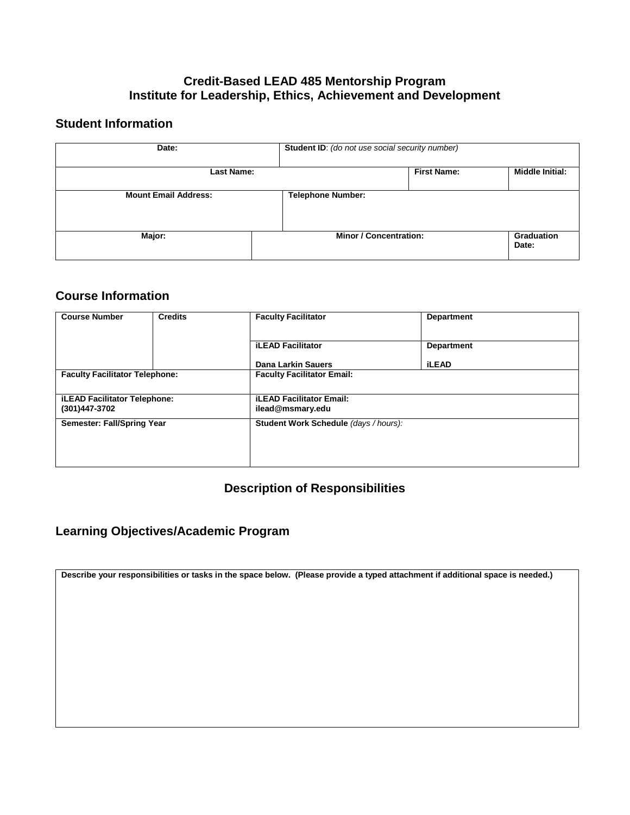#### **Credit-Based LEAD 485 Mentorship Program Institute for Leadership, Ethics, Achievement and Development**

#### **Student Information**

| Date:                       | Student ID: (do not use social security number) |                    |                            |
|-----------------------------|-------------------------------------------------|--------------------|----------------------------|
| Last Name:                  |                                                 | <b>First Name:</b> | <b>Middle Initial:</b>     |
| <b>Mount Email Address:</b> | <b>Telephone Number:</b>                        |                    |                            |
| Major:                      | <b>Minor / Concentration:</b>                   |                    | <b>Graduation</b><br>Date: |

#### **Course Information**

| <b>Credits</b>                                                           | <b>Faculty Facilitator</b>        | <b>Department</b>                     |  |
|--------------------------------------------------------------------------|-----------------------------------|---------------------------------------|--|
|                                                                          | <b>iLEAD Facilitator</b>          | <b>Department</b>                     |  |
|                                                                          | Dana Larkin Sauers                | <b>iLEAD</b>                          |  |
| <b>Faculty Facilitator Telephone:</b>                                    | <b>Faculty Facilitator Email:</b> |                                       |  |
|                                                                          |                                   |                                       |  |
| <b>iLEAD Facilitator Telephone:</b><br>(301)447-3702<br>ilead@msmary.edu |                                   |                                       |  |
| Semester: Fall/Spring Year                                               |                                   | Student Work Schedule (days / hours): |  |
|                                                                          |                                   |                                       |  |
|                                                                          |                                   |                                       |  |
|                                                                          |                                   | <b>iLEAD Facilitator Email:</b>       |  |

# **Description of Responsibilities**

# **Learning Objectives/Academic Program**

**Describe your responsibilities or tasks in the space below. (Please provide a typed attachment if additional space is needed.)**